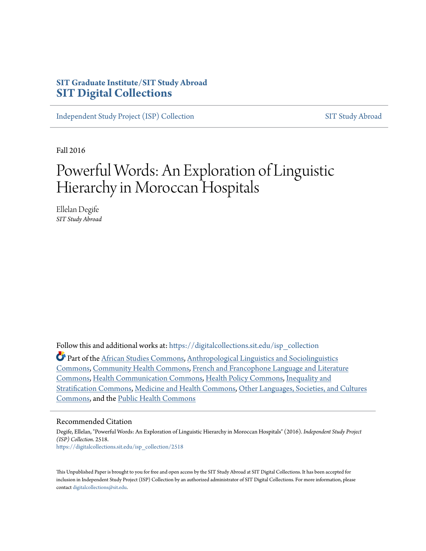# **SIT Graduate Institute/SIT Study Abroad [SIT Digital Collections](https://digitalcollections.sit.edu?utm_source=digitalcollections.sit.edu%2Fisp_collection%2F2518&utm_medium=PDF&utm_campaign=PDFCoverPages)**

[Independent Study Project \(ISP\) Collection](https://digitalcollections.sit.edu/isp_collection?utm_source=digitalcollections.sit.edu%2Fisp_collection%2F2518&utm_medium=PDF&utm_campaign=PDFCoverPages) [SIT Study Abroad](https://digitalcollections.sit.edu/study_abroad?utm_source=digitalcollections.sit.edu%2Fisp_collection%2F2518&utm_medium=PDF&utm_campaign=PDFCoverPages)

Fall 2016

# Powerful Words: An Exploration of Linguistic Hierarchy in Moroccan Hospitals

Ellelan Degife *SIT Study Abroad*

Follow this and additional works at: [https://digitalcollections.sit.edu/isp\\_collection](https://digitalcollections.sit.edu/isp_collection?utm_source=digitalcollections.sit.edu%2Fisp_collection%2F2518&utm_medium=PDF&utm_campaign=PDFCoverPages)

Part of the [African Studies Commons](http://network.bepress.com/hgg/discipline/1043?utm_source=digitalcollections.sit.edu%2Fisp_collection%2F2518&utm_medium=PDF&utm_campaign=PDFCoverPages), [Anthropological Linguistics and Sociolinguistics](http://network.bepress.com/hgg/discipline/372?utm_source=digitalcollections.sit.edu%2Fisp_collection%2F2518&utm_medium=PDF&utm_campaign=PDFCoverPages) [Commons,](http://network.bepress.com/hgg/discipline/372?utm_source=digitalcollections.sit.edu%2Fisp_collection%2F2518&utm_medium=PDF&utm_campaign=PDFCoverPages) [Community Health Commons,](http://network.bepress.com/hgg/discipline/714?utm_source=digitalcollections.sit.edu%2Fisp_collection%2F2518&utm_medium=PDF&utm_campaign=PDFCoverPages) [French and Francophone Language and Literature](http://network.bepress.com/hgg/discipline/463?utm_source=digitalcollections.sit.edu%2Fisp_collection%2F2518&utm_medium=PDF&utm_campaign=PDFCoverPages) [Commons,](http://network.bepress.com/hgg/discipline/463?utm_source=digitalcollections.sit.edu%2Fisp_collection%2F2518&utm_medium=PDF&utm_campaign=PDFCoverPages) [Health Communication Commons](http://network.bepress.com/hgg/discipline/330?utm_source=digitalcollections.sit.edu%2Fisp_collection%2F2518&utm_medium=PDF&utm_campaign=PDFCoverPages), [Health Policy Commons,](http://network.bepress.com/hgg/discipline/395?utm_source=digitalcollections.sit.edu%2Fisp_collection%2F2518&utm_medium=PDF&utm_campaign=PDFCoverPages) [Inequality and](http://network.bepress.com/hgg/discipline/421?utm_source=digitalcollections.sit.edu%2Fisp_collection%2F2518&utm_medium=PDF&utm_campaign=PDFCoverPages) [Stratification Commons](http://network.bepress.com/hgg/discipline/421?utm_source=digitalcollections.sit.edu%2Fisp_collection%2F2518&utm_medium=PDF&utm_campaign=PDFCoverPages), [Medicine and Health Commons,](http://network.bepress.com/hgg/discipline/422?utm_source=digitalcollections.sit.edu%2Fisp_collection%2F2518&utm_medium=PDF&utm_campaign=PDFCoverPages) [Other Languages, Societies, and Cultures](http://network.bepress.com/hgg/discipline/475?utm_source=digitalcollections.sit.edu%2Fisp_collection%2F2518&utm_medium=PDF&utm_campaign=PDFCoverPages) [Commons,](http://network.bepress.com/hgg/discipline/475?utm_source=digitalcollections.sit.edu%2Fisp_collection%2F2518&utm_medium=PDF&utm_campaign=PDFCoverPages) and the [Public Health Commons](http://network.bepress.com/hgg/discipline/738?utm_source=digitalcollections.sit.edu%2Fisp_collection%2F2518&utm_medium=PDF&utm_campaign=PDFCoverPages)

#### Recommended Citation

Degife, Ellelan, "Powerful Words: An Exploration of Linguistic Hierarchy in Moroccan Hospitals" (2016). *Independent Study Project (ISP) Collection*. 2518. [https://digitalcollections.sit.edu/isp\\_collection/2518](https://digitalcollections.sit.edu/isp_collection/2518?utm_source=digitalcollections.sit.edu%2Fisp_collection%2F2518&utm_medium=PDF&utm_campaign=PDFCoverPages)

This Unpublished Paper is brought to you for free and open access by the SIT Study Abroad at SIT Digital Collections. It has been accepted for inclusion in Independent Study Project (ISP) Collection by an authorized administrator of SIT Digital Collections. For more information, please contact [digitalcollections@sit.edu](mailto:digitalcollections@sit.edu).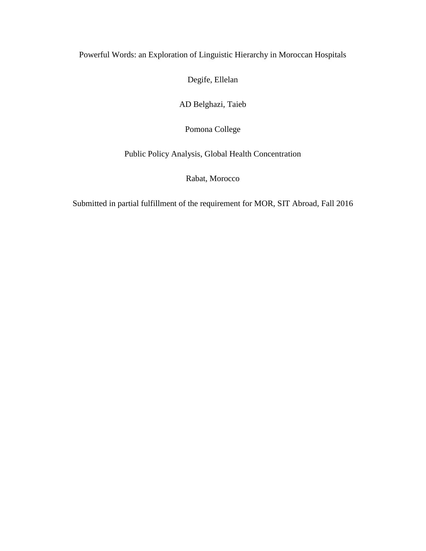# Powerful Words: an Exploration of Linguistic Hierarchy in Moroccan Hospitals

Degife, Ellelan

AD Belghazi, Taieb

Pomona College

Public Policy Analysis, Global Health Concentration

Rabat, Morocco

Submitted in partial fulfillment of the requirement for MOR, SIT Abroad, Fall 2016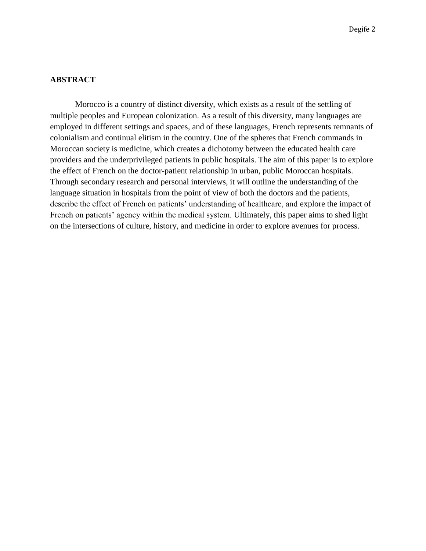#### **ABSTRACT**

Morocco is a country of distinct diversity, which exists as a result of the settling of multiple peoples and European colonization. As a result of this diversity, many languages are employed in different settings and spaces, and of these languages, French represents remnants of colonialism and continual elitism in the country. One of the spheres that French commands in Moroccan society is medicine, which creates a dichotomy between the educated health care providers and the underprivileged patients in public hospitals. The aim of this paper is to explore the effect of French on the doctor-patient relationship in urban, public Moroccan hospitals. Through secondary research and personal interviews, it will outline the understanding of the language situation in hospitals from the point of view of both the doctors and the patients, describe the effect of French on patients' understanding of healthcare, and explore the impact of French on patients' agency within the medical system. Ultimately, this paper aims to shed light on the intersections of culture, history, and medicine in order to explore avenues for process.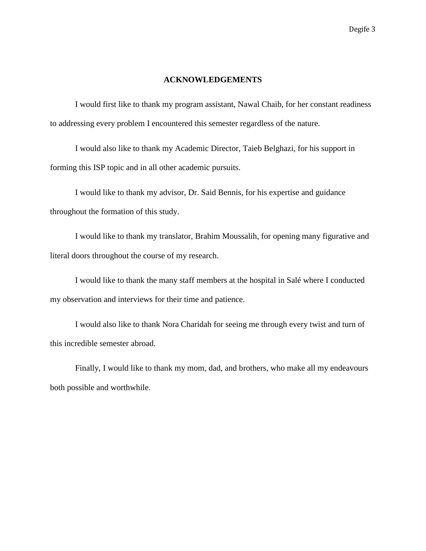#### **ACKNOWLEDGEMENTS**

I would first like to thank my program assistant, Nawal Chaib, for her constant readiness to addressing every problem I encountered this semester regardless of the nature.

I would also like to thank my Academic Director, Taieb Belghazi, for his support in forming this ISP topic and in all other academic pursuits.

I would like to thank my advisor, Dr. Said Bennis, for his expertise and guidance throughout the formation of this study.

I would like to thank my translator, Brahim Moussalih, for opening many figurative and literal doors throughout the course of my research.

I would like to thank the many staff members at the hospital in Salé where I conducted my observation and interviews for their time and patience.

I would also like to thank Nora Charidah for seeing me through every twist and turn of this incredible semester abroad.

Finally, I would like to thank my mom, dad, and brothers, who make all my endeavours both possible and worthwhile.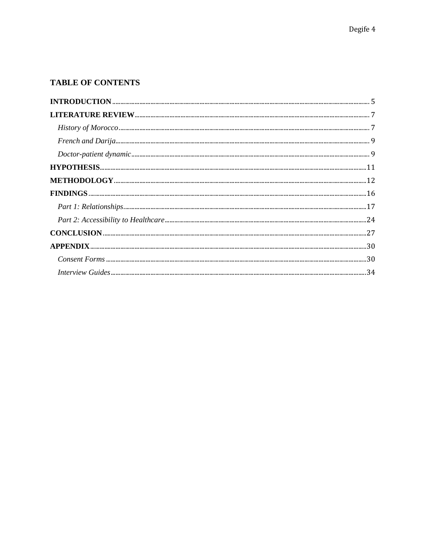# TABLE OF CONTENTS

| $FINDINGS 16$ |  |
|---------------|--|
|               |  |
|               |  |
|               |  |
|               |  |
|               |  |
|               |  |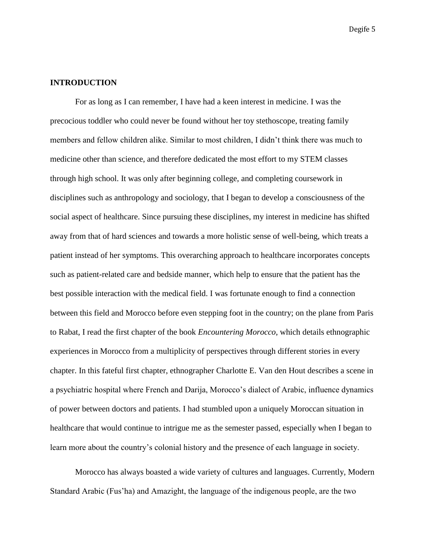#### <span id="page-5-0"></span>**INTRODUCTION**

For as long as I can remember, I have had a keen interest in medicine. I was the precocious toddler who could never be found without her toy stethoscope, treating family members and fellow children alike. Similar to most children, I didn't think there was much to medicine other than science, and therefore dedicated the most effort to my STEM classes through high school. It was only after beginning college, and completing coursework in disciplines such as anthropology and sociology, that I began to develop a consciousness of the social aspect of healthcare. Since pursuing these disciplines, my interest in medicine has shifted away from that of hard sciences and towards a more holistic sense of well-being, which treats a patient instead of her symptoms. This overarching approach to healthcare incorporates concepts such as patient-related care and bedside manner, which help to ensure that the patient has the best possible interaction with the medical field. I was fortunate enough to find a connection between this field and Morocco before even stepping foot in the country; on the plane from Paris to Rabat, I read the first chapter of the book *Encountering Morocco*, which details ethnographic experiences in Morocco from a multiplicity of perspectives through different stories in every chapter. In this fateful first chapter, ethnographer Charlotte E. Van den Hout describes a scene in a psychiatric hospital where French and Darija, Morocco's dialect of Arabic, influence dynamics of power between doctors and patients. I had stumbled upon a uniquely Moroccan situation in healthcare that would continue to intrigue me as the semester passed, especially when I began to learn more about the country's colonial history and the presence of each language in society.

Morocco has always boasted a wide variety of cultures and languages. Currently, Modern Standard Arabic (Fus'ha) and Amazight, the language of the indigenous people, are the two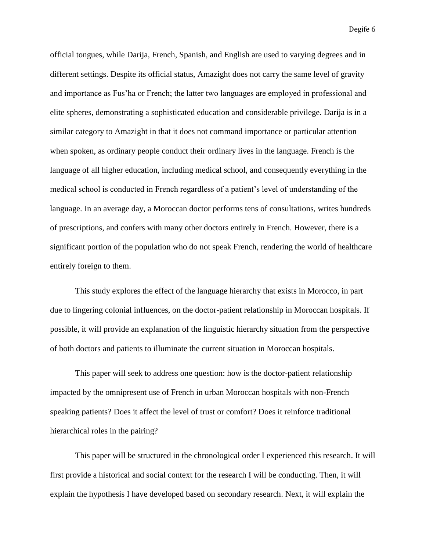official tongues, while Darija, French, Spanish, and English are used to varying degrees and in different settings. Despite its official status, Amazight does not carry the same level of gravity and importance as Fus'ha or French; the latter two languages are employed in professional and elite spheres, demonstrating a sophisticated education and considerable privilege. Darija is in a similar category to Amazight in that it does not command importance or particular attention when spoken, as ordinary people conduct their ordinary lives in the language. French is the language of all higher education, including medical school, and consequently everything in the medical school is conducted in French regardless of a patient's level of understanding of the language. In an average day, a Moroccan doctor performs tens of consultations, writes hundreds of prescriptions, and confers with many other doctors entirely in French. However, there is a significant portion of the population who do not speak French, rendering the world of healthcare entirely foreign to them.

This study explores the effect of the language hierarchy that exists in Morocco, in part due to lingering colonial influences, on the doctor-patient relationship in Moroccan hospitals. If possible, it will provide an explanation of the linguistic hierarchy situation from the perspective of both doctors and patients to illuminate the current situation in Moroccan hospitals.

This paper will seek to address one question: how is the doctor-patient relationship impacted by the omnipresent use of French in urban Moroccan hospitals with non-French speaking patients? Does it affect the level of trust or comfort? Does it reinforce traditional hierarchical roles in the pairing?

This paper will be structured in the chronological order I experienced this research. It will first provide a historical and social context for the research I will be conducting. Then, it will explain the hypothesis I have developed based on secondary research. Next, it will explain the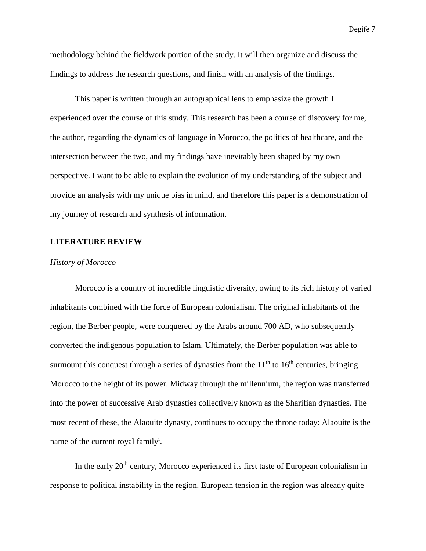methodology behind the fieldwork portion of the study. It will then organize and discuss the findings to address the research questions, and finish with an analysis of the findings.

This paper is written through an autographical lens to emphasize the growth I experienced over the course of this study. This research has been a course of discovery for me, the author, regarding the dynamics of language in Morocco, the politics of healthcare, and the intersection between the two, and my findings have inevitably been shaped by my own perspective. I want to be able to explain the evolution of my understanding of the subject and provide an analysis with my unique bias in mind, and therefore this paper is a demonstration of my journey of research and synthesis of information.

#### <span id="page-7-0"></span>**LITERATURE REVIEW**

#### <span id="page-7-1"></span>*History of Morocco*

Morocco is a country of incredible linguistic diversity, owing to its rich history of varied inhabitants combined with the force of European colonialism. The original inhabitants of the region, the Berber people, were conquered by the Arabs around 700 AD, who subsequently converted the indigenous population to Islam. Ultimately, the Berber population was able to surmount this conquest through a series of dynasties from the  $11<sup>th</sup>$  to  $16<sup>th</sup>$  centuries, bringing Morocco to the height of its power. Midway through the millennium, the region was transferred into the power of successive Arab dynasties collectively known as the Sharifian dynasties. The most recent of these, the Alaouite dynasty, continues to occupy the throne today: Alaouite is the name of the current royal family<sup>i</sup>.

In the early  $20<sup>th</sup>$  century, Morocco experienced its first taste of European colonialism in response to political instability in the region. European tension in the region was already quite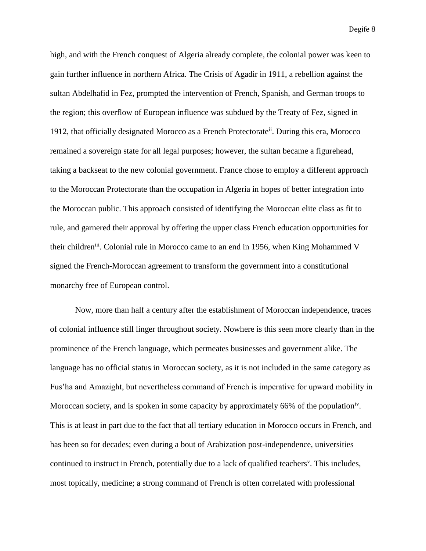high, and with the French conquest of Algeria already complete, the colonial power was keen to gain further influence in northern Africa. The Crisis of Agadir in 1911, a rebellion against the sultan Abdelhafid in Fez, prompted the intervention of French, Spanish, and German troops to the region; this overflow of European influence was subdued by the Treaty of Fez, signed in 1912, that officially designated Morocco as a French Protectorate<sup>ii</sup>. During this era, Morocco remained a sovereign state for all legal purposes; however, the sultan became a figurehead, taking a backseat to the new colonial government. France chose to employ a different approach to the Moroccan Protectorate than the occupation in Algeria in hopes of better integration into the Moroccan public. This approach consisted of identifying the Moroccan elite class as fit to rule, and garnered their approval by offering the upper class French education opportunities for their children<sup>iii</sup>. Colonial rule in Morocco came to an end in 1956, when King Mohammed V signed the French-Moroccan agreement to transform the government into a constitutional monarchy free of European control.

Now, more than half a century after the establishment of Moroccan independence, traces of colonial influence still linger throughout society. Nowhere is this seen more clearly than in the prominence of the French language, which permeates businesses and government alike. The language has no official status in Moroccan society, as it is not included in the same category as Fus'ha and Amazight, but nevertheless command of French is imperative for upward mobility in Moroccan society, and is spoken in some capacity by approximately 66% of the population<sup>iv</sup>. This is at least in part due to the fact that all tertiary education in Morocco occurs in French, and has been so for decades; even during a bout of Arabization post-independence, universities continued to instruct in French, potentially due to a lack of qualified teachers<sup>v</sup>. This includes, most topically, medicine; a strong command of French is often correlated with professional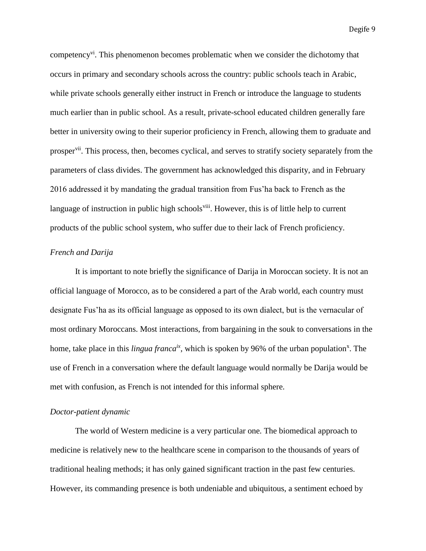competency<sup>vi</sup>. This phenomenon becomes problematic when we consider the dichotomy that occurs in primary and secondary schools across the country: public schools teach in Arabic, while private schools generally either instruct in French or introduce the language to students much earlier than in public school. As a result, private-school educated children generally fare better in university owing to their superior proficiency in French, allowing them to graduate and prosper<sup>vii</sup>. This process, then, becomes cyclical, and serves to stratify society separately from the parameters of class divides. The government has acknowledged this disparity, and in February 2016 addressed it by mandating the gradual transition from Fus'ha back to French as the language of instruction in public high schools<sup>viii</sup>. However, this is of little help to current products of the public school system, who suffer due to their lack of French proficiency.

# <span id="page-9-0"></span>*French and Darija*

It is important to note briefly the significance of Darija in Moroccan society. It is not an official language of Morocco, as to be considered a part of the Arab world, each country must designate Fus'ha as its official language as opposed to its own dialect, but is the vernacular of most ordinary Moroccans. Most interactions, from bargaining in the souk to conversations in the home, take place in this *lingua franca<sup>ix</sup>*, which is spoken by 96% of the urban population<sup>x</sup>. The use of French in a conversation where the default language would normally be Darija would be met with confusion, as French is not intended for this informal sphere.

#### <span id="page-9-1"></span>*Doctor-patient dynamic*

The world of Western medicine is a very particular one. The biomedical approach to medicine is relatively new to the healthcare scene in comparison to the thousands of years of traditional healing methods; it has only gained significant traction in the past few centuries. However, its commanding presence is both undeniable and ubiquitous, a sentiment echoed by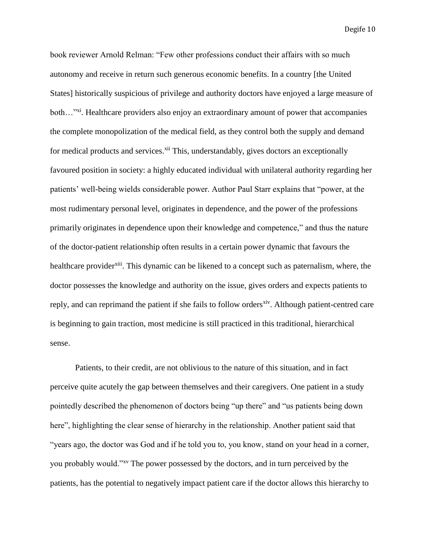book reviewer Arnold Relman: "Few other professions conduct their affairs with so much autonomy and receive in return such generous economic benefits. In a country [the United States] historically suspicious of privilege and authority doctors have enjoyed a large measure of both...<sup>"xi</sup>. Healthcare providers also enjoy an extraordinary amount of power that accompanies the complete monopolization of the medical field, as they control both the supply and demand for medical products and services.<sup>xii</sup> This, understandably, gives doctors an exceptionally favoured position in society: a highly educated individual with unilateral authority regarding her patients' well-being wields considerable power. Author Paul Starr explains that "power, at the most rudimentary personal level, originates in dependence, and the power of the professions primarily originates in dependence upon their knowledge and competence," and thus the nature of the doctor-patient relationship often results in a certain power dynamic that favours the healthcare provider<sup>xiii</sup>. This dynamic can be likened to a concept such as paternalism, where, the doctor possesses the knowledge and authority on the issue, gives orders and expects patients to reply, and can reprimand the patient if she fails to follow orders<sup>xiv</sup>. Although patient-centred care is beginning to gain traction, most medicine is still practiced in this traditional, hierarchical sense.

Patients, to their credit, are not oblivious to the nature of this situation, and in fact perceive quite acutely the gap between themselves and their caregivers. One patient in a study pointedly described the phenomenon of doctors being "up there" and "us patients being down here", highlighting the clear sense of hierarchy in the relationship. Another patient said that "years ago, the doctor was God and if he told you to, you know, stand on your head in a corner, you probably would."xv The power possessed by the doctors, and in turn perceived by the patients, has the potential to negatively impact patient care if the doctor allows this hierarchy to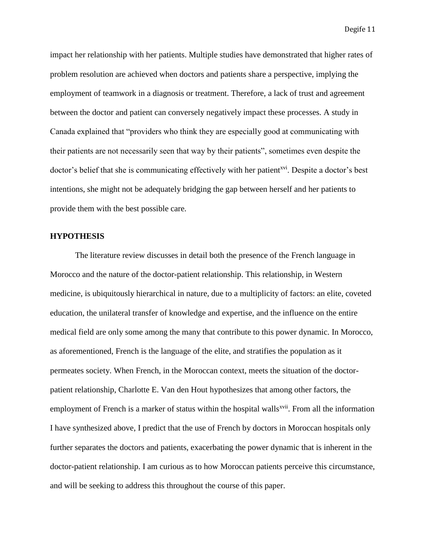impact her relationship with her patients. Multiple studies have demonstrated that higher rates of problem resolution are achieved when doctors and patients share a perspective, implying the employment of teamwork in a diagnosis or treatment. Therefore, a lack of trust and agreement between the doctor and patient can conversely negatively impact these processes. A study in Canada explained that "providers who think they are especially good at communicating with their patients are not necessarily seen that way by their patients", sometimes even despite the doctor's belief that she is communicating effectively with her patient<sup>xvi</sup>. Despite a doctor's best intentions, she might not be adequately bridging the gap between herself and her patients to provide them with the best possible care.

#### <span id="page-11-0"></span>**HYPOTHESIS**

The literature review discusses in detail both the presence of the French language in Morocco and the nature of the doctor-patient relationship. This relationship, in Western medicine, is ubiquitously hierarchical in nature, due to a multiplicity of factors: an elite, coveted education, the unilateral transfer of knowledge and expertise, and the influence on the entire medical field are only some among the many that contribute to this power dynamic. In Morocco, as aforementioned, French is the language of the elite, and stratifies the population as it permeates society. When French, in the Moroccan context, meets the situation of the doctorpatient relationship, Charlotte E. Van den Hout hypothesizes that among other factors, the employment of French is a marker of status within the hospital walls<sup>xvii</sup>. From all the information I have synthesized above, I predict that the use of French by doctors in Moroccan hospitals only further separates the doctors and patients, exacerbating the power dynamic that is inherent in the doctor-patient relationship. I am curious as to how Moroccan patients perceive this circumstance, and will be seeking to address this throughout the course of this paper.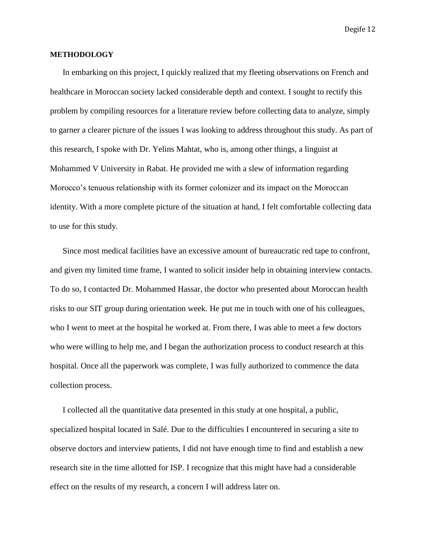#### <span id="page-12-0"></span>**METHODOLOGY**

In embarking on this project, I quickly realized that my fleeting observations on French and healthcare in Moroccan society lacked considerable depth and context. I sought to rectify this problem by compiling resources for a literature review before collecting data to analyze, simply to garner a clearer picture of the issues I was looking to address throughout this study. As part of this research, I spoke with Dr. Yelins Mahtat, who is, among other things, a linguist at Mohammed V University in Rabat. He provided me with a slew of information regarding Morocco's tenuous relationship with its former colonizer and its impact on the Moroccan identity. With a more complete picture of the situation at hand, I felt comfortable collecting data to use for this study.

Since most medical facilities have an excessive amount of bureaucratic red tape to confront, and given my limited time frame, I wanted to solicit insider help in obtaining interview contacts. To do so, I contacted Dr. Mohammed Hassar, the doctor who presented about Moroccan health risks to our SIT group during orientation week. He put me in touch with one of his colleagues, who I went to meet at the hospital he worked at. From there, I was able to meet a few doctors who were willing to help me, and I began the authorization process to conduct research at this hospital. Once all the paperwork was complete, I was fully authorized to commence the data collection process.

I collected all the quantitative data presented in this study at one hospital, a public, specialized hospital located in Salé. Due to the difficulties I encountered in securing a site to observe doctors and interview patients, I did not have enough time to find and establish a new research site in the time allotted for ISP. I recognize that this might have had a considerable effect on the results of my research, a concern I will address later on.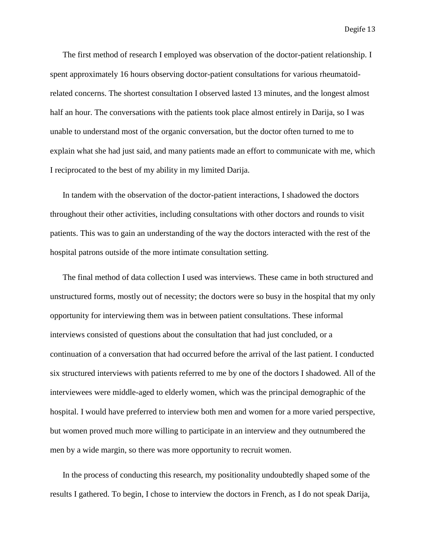The first method of research I employed was observation of the doctor-patient relationship. I spent approximately 16 hours observing doctor-patient consultations for various rheumatoidrelated concerns. The shortest consultation I observed lasted 13 minutes, and the longest almost half an hour. The conversations with the patients took place almost entirely in Darija, so I was unable to understand most of the organic conversation, but the doctor often turned to me to explain what she had just said, and many patients made an effort to communicate with me, which I reciprocated to the best of my ability in my limited Darija.

In tandem with the observation of the doctor-patient interactions, I shadowed the doctors throughout their other activities, including consultations with other doctors and rounds to visit patients. This was to gain an understanding of the way the doctors interacted with the rest of the hospital patrons outside of the more intimate consultation setting.

The final method of data collection I used was interviews. These came in both structured and unstructured forms, mostly out of necessity; the doctors were so busy in the hospital that my only opportunity for interviewing them was in between patient consultations. These informal interviews consisted of questions about the consultation that had just concluded, or a continuation of a conversation that had occurred before the arrival of the last patient. I conducted six structured interviews with patients referred to me by one of the doctors I shadowed. All of the interviewees were middle-aged to elderly women, which was the principal demographic of the hospital. I would have preferred to interview both men and women for a more varied perspective, but women proved much more willing to participate in an interview and they outnumbered the men by a wide margin, so there was more opportunity to recruit women.

In the process of conducting this research, my positionality undoubtedly shaped some of the results I gathered. To begin, I chose to interview the doctors in French, as I do not speak Darija,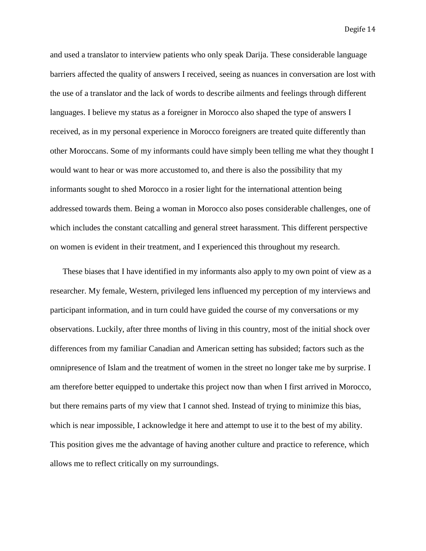and used a translator to interview patients who only speak Darija. These considerable language barriers affected the quality of answers I received, seeing as nuances in conversation are lost with the use of a translator and the lack of words to describe ailments and feelings through different languages. I believe my status as a foreigner in Morocco also shaped the type of answers I received, as in my personal experience in Morocco foreigners are treated quite differently than other Moroccans. Some of my informants could have simply been telling me what they thought I would want to hear or was more accustomed to, and there is also the possibility that my informants sought to shed Morocco in a rosier light for the international attention being addressed towards them. Being a woman in Morocco also poses considerable challenges, one of which includes the constant catcalling and general street harassment. This different perspective on women is evident in their treatment, and I experienced this throughout my research.

These biases that I have identified in my informants also apply to my own point of view as a researcher. My female, Western, privileged lens influenced my perception of my interviews and participant information, and in turn could have guided the course of my conversations or my observations. Luckily, after three months of living in this country, most of the initial shock over differences from my familiar Canadian and American setting has subsided; factors such as the omnipresence of Islam and the treatment of women in the street no longer take me by surprise. I am therefore better equipped to undertake this project now than when I first arrived in Morocco, but there remains parts of my view that I cannot shed. Instead of trying to minimize this bias, which is near impossible, I acknowledge it here and attempt to use it to the best of my ability. This position gives me the advantage of having another culture and practice to reference, which allows me to reflect critically on my surroundings.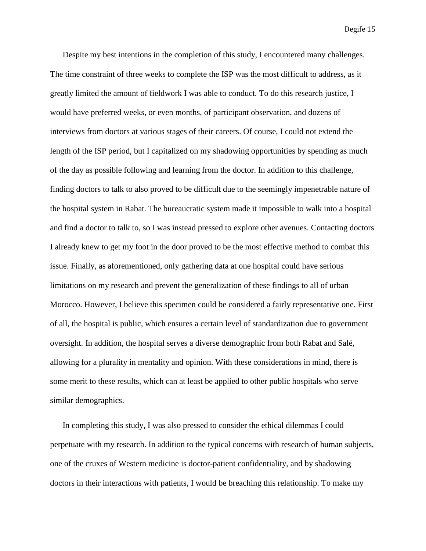Despite my best intentions in the completion of this study, I encountered many challenges. The time constraint of three weeks to complete the ISP was the most difficult to address, as it greatly limited the amount of fieldwork I was able to conduct. To do this research justice, I would have preferred weeks, or even months, of participant observation, and dozens of interviews from doctors at various stages of their careers. Of course, I could not extend the length of the ISP period, but I capitalized on my shadowing opportunities by spending as much of the day as possible following and learning from the doctor. In addition to this challenge, finding doctors to talk to also proved to be difficult due to the seemingly impenetrable nature of the hospital system in Rabat. The bureaucratic system made it impossible to walk into a hospital and find a doctor to talk to, so I was instead pressed to explore other avenues. Contacting doctors I already knew to get my foot in the door proved to be the most effective method to combat this issue. Finally, as aforementioned, only gathering data at one hospital could have serious limitations on my research and prevent the generalization of these findings to all of urban Morocco. However, I believe this specimen could be considered a fairly representative one. First of all, the hospital is public, which ensures a certain level of standardization due to government oversight. In addition, the hospital serves a diverse demographic from both Rabat and Salé, allowing for a plurality in mentality and opinion. With these considerations in mind, there is some merit to these results, which can at least be applied to other public hospitals who serve similar demographics.

In completing this study, I was also pressed to consider the ethical dilemmas I could perpetuate with my research. In addition to the typical concerns with research of human subjects, one of the cruxes of Western medicine is doctor-patient confidentiality, and by shadowing doctors in their interactions with patients, I would be breaching this relationship. To make my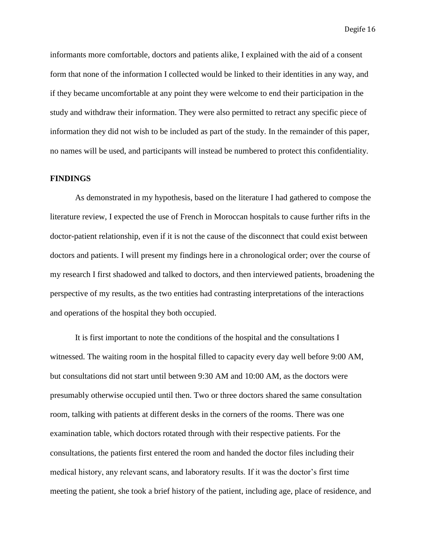informants more comfortable, doctors and patients alike, I explained with the aid of a consent form that none of the information I collected would be linked to their identities in any way, and if they became uncomfortable at any point they were welcome to end their participation in the study and withdraw their information. They were also permitted to retract any specific piece of information they did not wish to be included as part of the study. In the remainder of this paper, no names will be used, and participants will instead be numbered to protect this confidentiality.

#### <span id="page-16-0"></span>**FINDINGS**

As demonstrated in my hypothesis, based on the literature I had gathered to compose the literature review, I expected the use of French in Moroccan hospitals to cause further rifts in the doctor-patient relationship, even if it is not the cause of the disconnect that could exist between doctors and patients. I will present my findings here in a chronological order; over the course of my research I first shadowed and talked to doctors, and then interviewed patients, broadening the perspective of my results, as the two entities had contrasting interpretations of the interactions and operations of the hospital they both occupied.

It is first important to note the conditions of the hospital and the consultations I witnessed. The waiting room in the hospital filled to capacity every day well before 9:00 AM, but consultations did not start until between 9:30 AM and 10:00 AM, as the doctors were presumably otherwise occupied until then. Two or three doctors shared the same consultation room, talking with patients at different desks in the corners of the rooms. There was one examination table, which doctors rotated through with their respective patients. For the consultations, the patients first entered the room and handed the doctor files including their medical history, any relevant scans, and laboratory results. If it was the doctor's first time meeting the patient, she took a brief history of the patient, including age, place of residence, and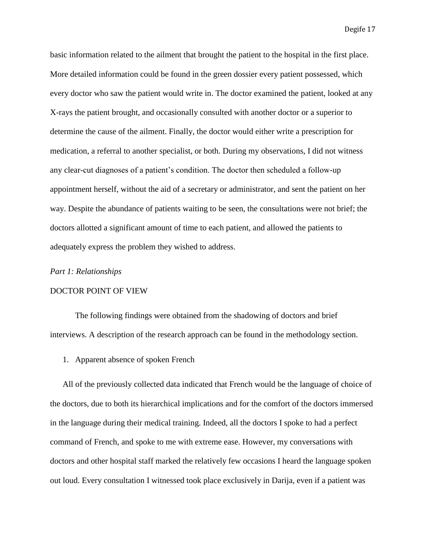basic information related to the ailment that brought the patient to the hospital in the first place. More detailed information could be found in the green dossier every patient possessed, which every doctor who saw the patient would write in. The doctor examined the patient, looked at any X-rays the patient brought, and occasionally consulted with another doctor or a superior to determine the cause of the ailment. Finally, the doctor would either write a prescription for medication, a referral to another specialist, or both. During my observations, I did not witness any clear-cut diagnoses of a patient's condition. The doctor then scheduled a follow-up appointment herself, without the aid of a secretary or administrator, and sent the patient on her way. Despite the abundance of patients waiting to be seen, the consultations were not brief; the doctors allotted a significant amount of time to each patient, and allowed the patients to adequately express the problem they wished to address.

#### <span id="page-17-0"></span>*Part 1: Relationships*

#### DOCTOR POINT OF VIEW

The following findings were obtained from the shadowing of doctors and brief interviews. A description of the research approach can be found in the methodology section.

1. Apparent absence of spoken French

All of the previously collected data indicated that French would be the language of choice of the doctors, due to both its hierarchical implications and for the comfort of the doctors immersed in the language during their medical training. Indeed, all the doctors I spoke to had a perfect command of French, and spoke to me with extreme ease. However, my conversations with doctors and other hospital staff marked the relatively few occasions I heard the language spoken out loud. Every consultation I witnessed took place exclusively in Darija, even if a patient was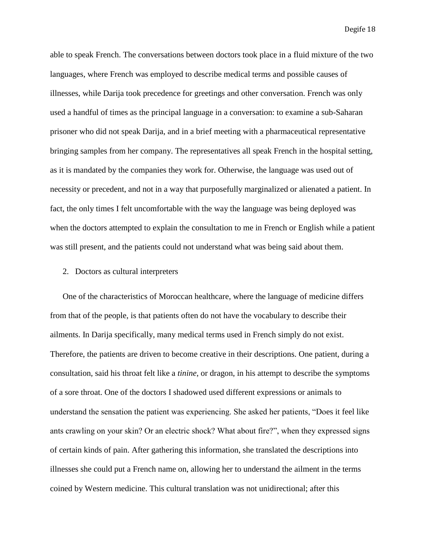able to speak French. The conversations between doctors took place in a fluid mixture of the two languages, where French was employed to describe medical terms and possible causes of illnesses, while Darija took precedence for greetings and other conversation. French was only used a handful of times as the principal language in a conversation: to examine a sub-Saharan prisoner who did not speak Darija, and in a brief meeting with a pharmaceutical representative bringing samples from her company. The representatives all speak French in the hospital setting, as it is mandated by the companies they work for. Otherwise, the language was used out of necessity or precedent, and not in a way that purposefully marginalized or alienated a patient. In fact, the only times I felt uncomfortable with the way the language was being deployed was when the doctors attempted to explain the consultation to me in French or English while a patient was still present, and the patients could not understand what was being said about them.

#### 2. Doctors as cultural interpreters

One of the characteristics of Moroccan healthcare, where the language of medicine differs from that of the people, is that patients often do not have the vocabulary to describe their ailments. In Darija specifically, many medical terms used in French simply do not exist. Therefore, the patients are driven to become creative in their descriptions. One patient, during a consultation, said his throat felt like a *tinine*, or dragon, in his attempt to describe the symptoms of a sore throat. One of the doctors I shadowed used different expressions or animals to understand the sensation the patient was experiencing. She asked her patients, "Does it feel like ants crawling on your skin? Or an electric shock? What about fire?", when they expressed signs of certain kinds of pain. After gathering this information, she translated the descriptions into illnesses she could put a French name on, allowing her to understand the ailment in the terms coined by Western medicine. This cultural translation was not unidirectional; after this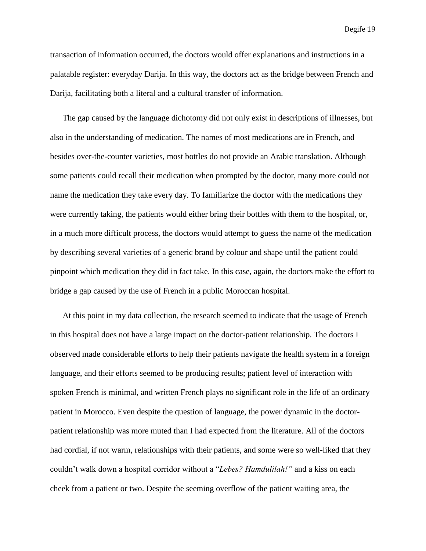transaction of information occurred, the doctors would offer explanations and instructions in a palatable register: everyday Darija. In this way, the doctors act as the bridge between French and Darija, facilitating both a literal and a cultural transfer of information.

The gap caused by the language dichotomy did not only exist in descriptions of illnesses, but also in the understanding of medication. The names of most medications are in French, and besides over-the-counter varieties, most bottles do not provide an Arabic translation. Although some patients could recall their medication when prompted by the doctor, many more could not name the medication they take every day. To familiarize the doctor with the medications they were currently taking, the patients would either bring their bottles with them to the hospital, or, in a much more difficult process, the doctors would attempt to guess the name of the medication by describing several varieties of a generic brand by colour and shape until the patient could pinpoint which medication they did in fact take. In this case, again, the doctors make the effort to bridge a gap caused by the use of French in a public Moroccan hospital.

At this point in my data collection, the research seemed to indicate that the usage of French in this hospital does not have a large impact on the doctor-patient relationship. The doctors I observed made considerable efforts to help their patients navigate the health system in a foreign language, and their efforts seemed to be producing results; patient level of interaction with spoken French is minimal, and written French plays no significant role in the life of an ordinary patient in Morocco. Even despite the question of language, the power dynamic in the doctorpatient relationship was more muted than I had expected from the literature. All of the doctors had cordial, if not warm, relationships with their patients, and some were so well-liked that they couldn't walk down a hospital corridor without a "*Lebes? Hamdulilah!"* and a kiss on each cheek from a patient or two. Despite the seeming overflow of the patient waiting area, the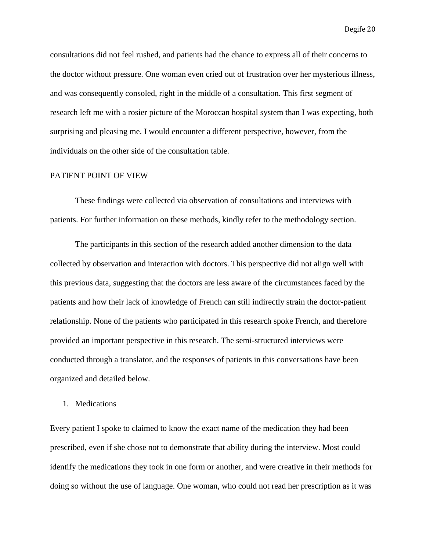consultations did not feel rushed, and patients had the chance to express all of their concerns to the doctor without pressure. One woman even cried out of frustration over her mysterious illness, and was consequently consoled, right in the middle of a consultation. This first segment of research left me with a rosier picture of the Moroccan hospital system than I was expecting, both surprising and pleasing me. I would encounter a different perspective, however, from the individuals on the other side of the consultation table.

#### PATIENT POINT OF VIEW

These findings were collected via observation of consultations and interviews with patients. For further information on these methods, kindly refer to the methodology section.

The participants in this section of the research added another dimension to the data collected by observation and interaction with doctors. This perspective did not align well with this previous data, suggesting that the doctors are less aware of the circumstances faced by the patients and how their lack of knowledge of French can still indirectly strain the doctor-patient relationship. None of the patients who participated in this research spoke French, and therefore provided an important perspective in this research. The semi-structured interviews were conducted through a translator, and the responses of patients in this conversations have been organized and detailed below.

#### 1. Medications

Every patient I spoke to claimed to know the exact name of the medication they had been prescribed, even if she chose not to demonstrate that ability during the interview. Most could identify the medications they took in one form or another, and were creative in their methods for doing so without the use of language. One woman, who could not read her prescription as it was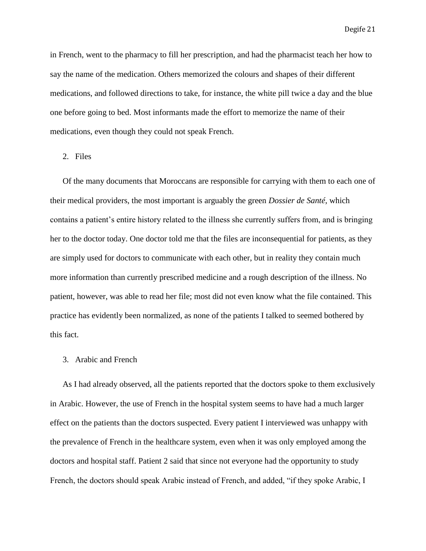in French, went to the pharmacy to fill her prescription, and had the pharmacist teach her how to say the name of the medication. Others memorized the colours and shapes of their different medications, and followed directions to take, for instance, the white pill twice a day and the blue one before going to bed. Most informants made the effort to memorize the name of their medications, even though they could not speak French.

#### 2. Files

Of the many documents that Moroccans are responsible for carrying with them to each one of their medical providers, the most important is arguably the green *Dossier de Santé*, which contains a patient's entire history related to the illness she currently suffers from, and is bringing her to the doctor today. One doctor told me that the files are inconsequential for patients, as they are simply used for doctors to communicate with each other, but in reality they contain much more information than currently prescribed medicine and a rough description of the illness. No patient, however, was able to read her file; most did not even know what the file contained. This practice has evidently been normalized, as none of the patients I talked to seemed bothered by this fact.

#### 3. Arabic and French

As I had already observed, all the patients reported that the doctors spoke to them exclusively in Arabic. However, the use of French in the hospital system seems to have had a much larger effect on the patients than the doctors suspected. Every patient I interviewed was unhappy with the prevalence of French in the healthcare system, even when it was only employed among the doctors and hospital staff. Patient 2 said that since not everyone had the opportunity to study French, the doctors should speak Arabic instead of French, and added, "if they spoke Arabic, I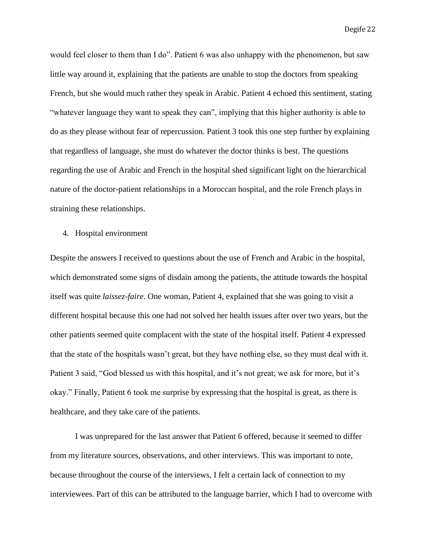would feel closer to them than I do". Patient 6 was also unhappy with the phenomenon, but saw little way around it, explaining that the patients are unable to stop the doctors from speaking French, but she would much rather they speak in Arabic. Patient 4 echoed this sentiment, stating "whatever language they want to speak they can", implying that this higher authority is able to do as they please without fear of repercussion. Patient 3 took this one step further by explaining that regardless of language, she must do whatever the doctor thinks is best. The questions regarding the use of Arabic and French in the hospital shed significant light on the hierarchical nature of the doctor-patient relationships in a Moroccan hospital, and the role French plays in straining these relationships.

#### 4. Hospital environment

Despite the answers I received to questions about the use of French and Arabic in the hospital, which demonstrated some signs of disdain among the patients, the attitude towards the hospital itself was quite *laissez-faire*. One woman, Patient 4, explained that she was going to visit a different hospital because this one had not solved her health issues after over two years, but the other patients seemed quite complacent with the state of the hospital itself. Patient 4 expressed that the state of the hospitals wasn't great, but they have nothing else, so they must deal with it. Patient 3 said, "God blessed us with this hospital, and it's not great; we ask for more, but it's okay." Finally, Patient 6 took me surprise by expressing that the hospital is great, as there is healthcare, and they take care of the patients.

I was unprepared for the last answer that Patient 6 offered, because it seemed to differ from my literature sources, observations, and other interviews. This was important to note, because throughout the course of the interviews, I felt a certain lack of connection to my interviewees. Part of this can be attributed to the language barrier, which I had to overcome with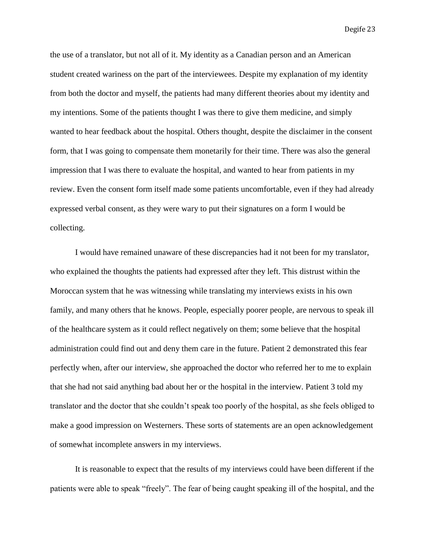the use of a translator, but not all of it. My identity as a Canadian person and an American student created wariness on the part of the interviewees. Despite my explanation of my identity from both the doctor and myself, the patients had many different theories about my identity and my intentions. Some of the patients thought I was there to give them medicine, and simply wanted to hear feedback about the hospital. Others thought, despite the disclaimer in the consent form, that I was going to compensate them monetarily for their time. There was also the general impression that I was there to evaluate the hospital, and wanted to hear from patients in my review. Even the consent form itself made some patients uncomfortable, even if they had already expressed verbal consent, as they were wary to put their signatures on a form I would be collecting.

I would have remained unaware of these discrepancies had it not been for my translator, who explained the thoughts the patients had expressed after they left. This distrust within the Moroccan system that he was witnessing while translating my interviews exists in his own family, and many others that he knows. People, especially poorer people, are nervous to speak ill of the healthcare system as it could reflect negatively on them; some believe that the hospital administration could find out and deny them care in the future. Patient 2 demonstrated this fear perfectly when, after our interview, she approached the doctor who referred her to me to explain that she had not said anything bad about her or the hospital in the interview. Patient 3 told my translator and the doctor that she couldn't speak too poorly of the hospital, as she feels obliged to make a good impression on Westerners. These sorts of statements are an open acknowledgement of somewhat incomplete answers in my interviews.

It is reasonable to expect that the results of my interviews could have been different if the patients were able to speak "freely". The fear of being caught speaking ill of the hospital, and the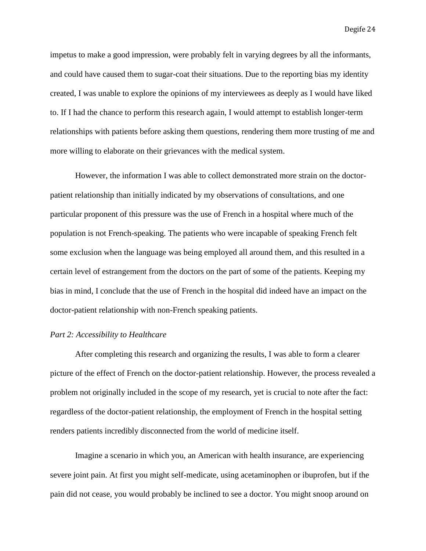impetus to make a good impression, were probably felt in varying degrees by all the informants, and could have caused them to sugar-coat their situations. Due to the reporting bias my identity created, I was unable to explore the opinions of my interviewees as deeply as I would have liked to. If I had the chance to perform this research again, I would attempt to establish longer-term relationships with patients before asking them questions, rendering them more trusting of me and more willing to elaborate on their grievances with the medical system.

However, the information I was able to collect demonstrated more strain on the doctorpatient relationship than initially indicated by my observations of consultations, and one particular proponent of this pressure was the use of French in a hospital where much of the population is not French-speaking. The patients who were incapable of speaking French felt some exclusion when the language was being employed all around them, and this resulted in a certain level of estrangement from the doctors on the part of some of the patients. Keeping my bias in mind, I conclude that the use of French in the hospital did indeed have an impact on the doctor-patient relationship with non-French speaking patients.

#### <span id="page-24-0"></span>*Part 2: Accessibility to Healthcare*

After completing this research and organizing the results, I was able to form a clearer picture of the effect of French on the doctor-patient relationship. However, the process revealed a problem not originally included in the scope of my research, yet is crucial to note after the fact: regardless of the doctor-patient relationship, the employment of French in the hospital setting renders patients incredibly disconnected from the world of medicine itself.

Imagine a scenario in which you, an American with health insurance, are experiencing severe joint pain. At first you might self-medicate, using acetaminophen or ibuprofen, but if the pain did not cease, you would probably be inclined to see a doctor. You might snoop around on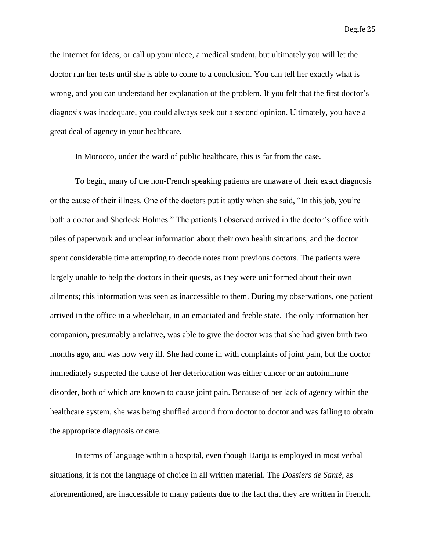the Internet for ideas, or call up your niece, a medical student, but ultimately you will let the doctor run her tests until she is able to come to a conclusion. You can tell her exactly what is wrong, and you can understand her explanation of the problem. If you felt that the first doctor's diagnosis was inadequate, you could always seek out a second opinion. Ultimately, you have a great deal of agency in your healthcare.

In Morocco, under the ward of public healthcare, this is far from the case.

To begin, many of the non-French speaking patients are unaware of their exact diagnosis or the cause of their illness. One of the doctors put it aptly when she said, "In this job, you're both a doctor and Sherlock Holmes." The patients I observed arrived in the doctor's office with piles of paperwork and unclear information about their own health situations, and the doctor spent considerable time attempting to decode notes from previous doctors. The patients were largely unable to help the doctors in their quests, as they were uninformed about their own ailments; this information was seen as inaccessible to them. During my observations, one patient arrived in the office in a wheelchair, in an emaciated and feeble state. The only information her companion, presumably a relative, was able to give the doctor was that she had given birth two months ago, and was now very ill. She had come in with complaints of joint pain, but the doctor immediately suspected the cause of her deterioration was either cancer or an autoimmune disorder, both of which are known to cause joint pain. Because of her lack of agency within the healthcare system, she was being shuffled around from doctor to doctor and was failing to obtain the appropriate diagnosis or care.

In terms of language within a hospital, even though Darija is employed in most verbal situations, it is not the language of choice in all written material. The *Dossiers de Santé*, as aforementioned, are inaccessible to many patients due to the fact that they are written in French.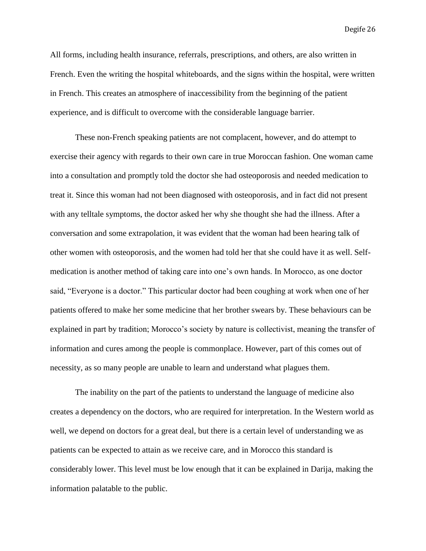All forms, including health insurance, referrals, prescriptions, and others, are also written in French. Even the writing the hospital whiteboards, and the signs within the hospital, were written in French. This creates an atmosphere of inaccessibility from the beginning of the patient experience, and is difficult to overcome with the considerable language barrier.

These non-French speaking patients are not complacent, however, and do attempt to exercise their agency with regards to their own care in true Moroccan fashion. One woman came into a consultation and promptly told the doctor she had osteoporosis and needed medication to treat it. Since this woman had not been diagnosed with osteoporosis, and in fact did not present with any telltale symptoms, the doctor asked her why she thought she had the illness. After a conversation and some extrapolation, it was evident that the woman had been hearing talk of other women with osteoporosis, and the women had told her that she could have it as well. Selfmedication is another method of taking care into one's own hands. In Morocco, as one doctor said, "Everyone is a doctor." This particular doctor had been coughing at work when one of her patients offered to make her some medicine that her brother swears by. These behaviours can be explained in part by tradition; Morocco's society by nature is collectivist, meaning the transfer of information and cures among the people is commonplace. However, part of this comes out of necessity, as so many people are unable to learn and understand what plagues them.

The inability on the part of the patients to understand the language of medicine also creates a dependency on the doctors, who are required for interpretation. In the Western world as well, we depend on doctors for a great deal, but there is a certain level of understanding we as patients can be expected to attain as we receive care, and in Morocco this standard is considerably lower. This level must be low enough that it can be explained in Darija, making the information palatable to the public.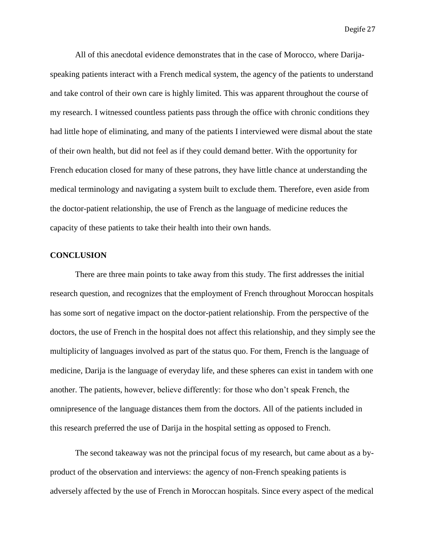All of this anecdotal evidence demonstrates that in the case of Morocco, where Darijaspeaking patients interact with a French medical system, the agency of the patients to understand and take control of their own care is highly limited. This was apparent throughout the course of my research. I witnessed countless patients pass through the office with chronic conditions they had little hope of eliminating, and many of the patients I interviewed were dismal about the state of their own health, but did not feel as if they could demand better. With the opportunity for French education closed for many of these patrons, they have little chance at understanding the medical terminology and navigating a system built to exclude them. Therefore, even aside from the doctor-patient relationship, the use of French as the language of medicine reduces the capacity of these patients to take their health into their own hands.

#### <span id="page-27-0"></span>**CONCLUSION**

There are three main points to take away from this study. The first addresses the initial research question, and recognizes that the employment of French throughout Moroccan hospitals has some sort of negative impact on the doctor-patient relationship. From the perspective of the doctors, the use of French in the hospital does not affect this relationship, and they simply see the multiplicity of languages involved as part of the status quo. For them, French is the language of medicine, Darija is the language of everyday life, and these spheres can exist in tandem with one another. The patients, however, believe differently: for those who don't speak French, the omnipresence of the language distances them from the doctors. All of the patients included in this research preferred the use of Darija in the hospital setting as opposed to French.

The second takeaway was not the principal focus of my research, but came about as a byproduct of the observation and interviews: the agency of non-French speaking patients is adversely affected by the use of French in Moroccan hospitals. Since every aspect of the medical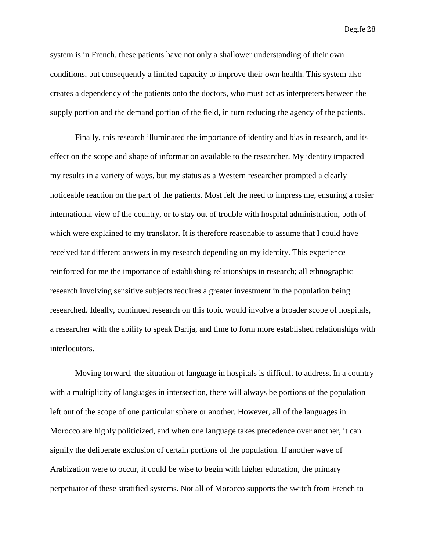system is in French, these patients have not only a shallower understanding of their own conditions, but consequently a limited capacity to improve their own health. This system also creates a dependency of the patients onto the doctors, who must act as interpreters between the supply portion and the demand portion of the field, in turn reducing the agency of the patients.

Finally, this research illuminated the importance of identity and bias in research, and its effect on the scope and shape of information available to the researcher. My identity impacted my results in a variety of ways, but my status as a Western researcher prompted a clearly noticeable reaction on the part of the patients. Most felt the need to impress me, ensuring a rosier international view of the country, or to stay out of trouble with hospital administration, both of which were explained to my translator. It is therefore reasonable to assume that I could have received far different answers in my research depending on my identity. This experience reinforced for me the importance of establishing relationships in research; all ethnographic research involving sensitive subjects requires a greater investment in the population being researched. Ideally, continued research on this topic would involve a broader scope of hospitals, a researcher with the ability to speak Darija, and time to form more established relationships with interlocutors.

Moving forward, the situation of language in hospitals is difficult to address. In a country with a multiplicity of languages in intersection, there will always be portions of the population left out of the scope of one particular sphere or another. However, all of the languages in Morocco are highly politicized, and when one language takes precedence over another, it can signify the deliberate exclusion of certain portions of the population. If another wave of Arabization were to occur, it could be wise to begin with higher education, the primary perpetuator of these stratified systems. Not all of Morocco supports the switch from French to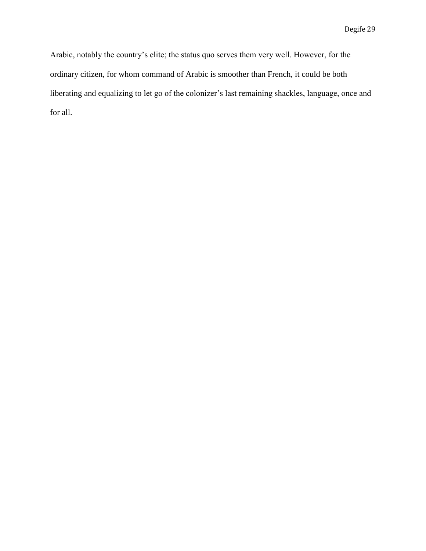Arabic, notably the country's elite; the status quo serves them very well. However, for the ordinary citizen, for whom command of Arabic is smoother than French, it could be both liberating and equalizing to let go of the colonizer's last remaining shackles, language, once and for all.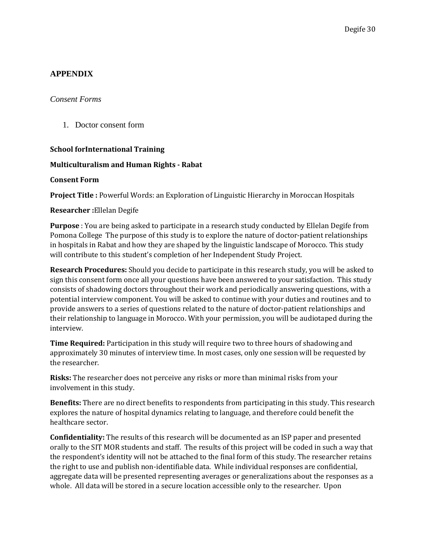# <span id="page-30-0"></span>**APPENDIX**

# <span id="page-30-1"></span>*Consent Forms*

1. Doctor consent form

# **School forInternational Training**

# **Multiculturalism and Human Rights - Rabat**

# **Consent Form**

**Project Title :** Powerful Words: an Exploration of Linguistic Hierarchy in Moroccan Hospitals

# **Researcher :**Ellelan Degife

**Purpose** : You are being asked to participate in a research study conducted by Ellelan Degife from Pomona College The purpose of this study is to explore the nature of doctor-patient relationships in hospitals in Rabat and how they are shaped by the linguistic landscape of Morocco. This study will contribute to this student's completion of her Independent Study Project.

**Research Procedures:** Should you decide to participate in this research study, you will be asked to sign this consent form once all your questions have been answered to your satisfaction. This study consists of shadowing doctors throughout their work and periodically answering questions, with a potential interview component. You will be asked to continue with your duties and routines and to provide answers to a series of questions related to the nature of doctor-patient relationships and their relationship to language in Morocco. With your permission, you will be audiotaped during the interview.

**Time Required:** Participation in this study will require two to three hours of shadowing and approximately 30 minutes of interview time. In most cases, only one session will be requested by the researcher.

**Risks:** The researcher does not perceive any risks or more than minimal risks from your involvement in this study.

**Benefits:** There are no direct benefits to respondents from participating in this study. This research explores the nature of hospital dynamics relating to language, and therefore could benefit the healthcare sector.

**Confidentiality:** The results of this research will be documented as an ISP paper and presented orally to the SIT MOR students and staff. The results of this project will be coded in such a way that the respondent's identity will not be attached to the final form of this study. The researcher retains the right to use and publish non-identifiable data. While individual responses are confidential, aggregate data will be presented representing averages or generalizations about the responses as a whole. All data will be stored in a secure location accessible only to the researcher. Upon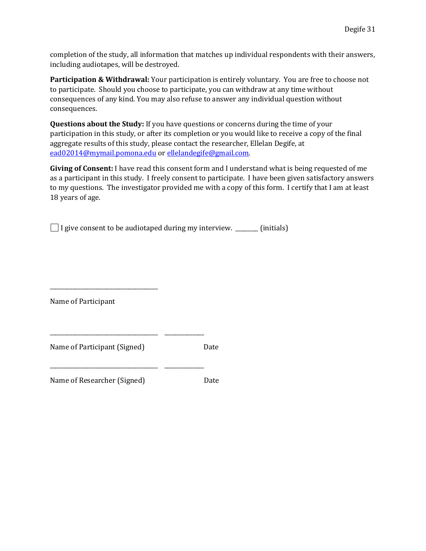completion of the study, all information that matches up individual respondents with their answers, including audiotapes, will be destroyed.

Participation & Withdrawal: Your participation is entirely voluntary. You are free to choose not to participate. Should you choose to participate, you can withdraw at any time without consequences of any kind. You may also refuse to answer any individual question without consequences.

**Questions about the Study:** If you have questions or concerns during the time of your participation in this study, or after its completion or you would like to receive a copy of the final aggregate results of this study, please contact the researcher, Ellelan Degife, at [ead02014@mymail.pomona.edu](mailto:ead02014@mymail.pomona.edu) or [ellelandegife@gmail.com.](mailto:ellelandegife@gmail.com)

**Giving of Consent:** I have read this consent form and I understand what is being requested of me as a participant in this study. I freely consent to participate. I have been given satisfactory answers to my questions. The investigator provided me with a copy of this form. I certify that I am at least 18 years of age.

 $\Box$  I give consent to be audiotaped during my interview. \_\_\_\_\_\_\_ (initials)

Name of Participant

Name of Participant (Signed) Date

\_\_\_\_\_\_\_\_\_\_\_\_\_\_\_\_\_\_\_\_\_\_\_\_\_\_\_\_\_\_\_\_\_\_\_\_\_\_

Name of Researcher (Signed) Date

\_\_\_\_\_\_\_\_\_\_\_\_\_\_\_\_\_\_\_\_\_\_\_\_\_\_\_\_\_\_\_\_\_\_\_\_\_\_ \_\_\_\_\_\_\_\_\_\_\_\_\_\_

\_\_\_\_\_\_\_\_\_\_\_\_\_\_\_\_\_\_\_\_\_\_\_\_\_\_\_\_\_\_\_\_\_\_\_\_\_\_ \_\_\_\_\_\_\_\_\_\_\_\_\_\_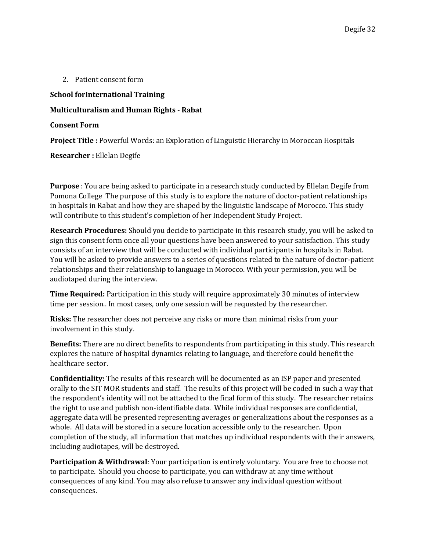2. Patient consent form

# **School forInternational Training**

# **Multiculturalism and Human Rights - Rabat**

### **Consent Form**

**Project Title :** Powerful Words: an Exploration of Linguistic Hierarchy in Moroccan Hospitals

**Researcher :** Ellelan Degife

**Purpose** : You are being asked to participate in a research study conducted by Ellelan Degife from Pomona College The purpose of this study is to explore the nature of doctor-patient relationships in hospitals in Rabat and how they are shaped by the linguistic landscape of Morocco. This study will contribute to this student's completion of her Independent Study Project.

**Research Procedures:** Should you decide to participate in this research study, you will be asked to sign this consent form once all your questions have been answered to your satisfaction. This study consists of an interview that will be conducted with individual participants in hospitals in Rabat. You will be asked to provide answers to a series of questions related to the nature of doctor-patient relationships and their relationship to language in Morocco. With your permission, you will be audiotaped during the interview.

**Time Required:** Participation in this study will require approximately 30 minutes of interview time per session.. In most cases, only one session will be requested by the researcher.

**Risks:** The researcher does not perceive any risks or more than minimal risks from your involvement in this study.

**Benefits:** There are no direct benefits to respondents from participating in this study. This research explores the nature of hospital dynamics relating to language, and therefore could benefit the healthcare sector.

**Confidentiality:** The results of this research will be documented as an ISP paper and presented orally to the SIT MOR students and staff. The results of this project will be coded in such a way that the respondent's identity will not be attached to the final form of this study. The researcher retains the right to use and publish non-identifiable data. While individual responses are confidential, aggregate data will be presented representing averages or generalizations about the responses as a whole. All data will be stored in a secure location accessible only to the researcher. Upon completion of the study, all information that matches up individual respondents with their answers, including audiotapes, will be destroyed.

**Participation & Withdrawal**: Your participation is entirely voluntary. You are free to choose not to participate. Should you choose to participate, you can withdraw at any time without consequences of any kind. You may also refuse to answer any individual question without consequences.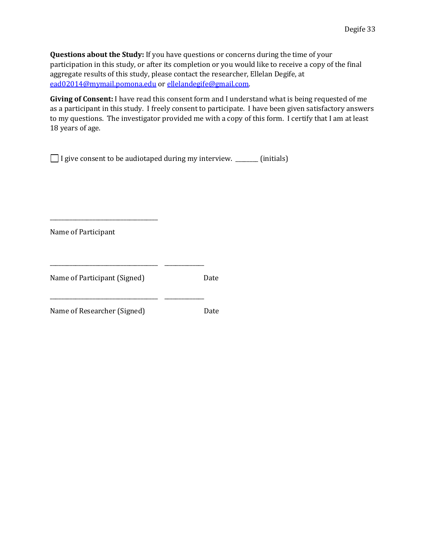**Questions about the Study:** If you have questions or concerns during the time of your participation in this study, or after its completion or you would like to receive a copy of the final aggregate results of this study, please contact the researcher, Ellelan Degife, at [ead02014@mymail.pomona.edu](mailto:ead02014@mymail.pomona.edu) or [ellelandegife@gmail.com.](mailto:ellelandegife@gmail.com)

**Giving of Consent:** I have read this consent form and I understand what is being requested of me as a participant in this study. I freely consent to participate. I have been given satisfactory answers to my questions. The investigator provided me with a copy of this form. I certify that I am at least 18 years of age.

I give consent to be audiotaped during my interview. \_\_\_\_\_\_\_\_ (initials)

Name of Participant

\_\_\_\_\_\_\_\_\_\_\_\_\_\_\_\_\_\_\_\_\_\_\_\_\_\_\_\_\_\_\_\_\_\_\_\_\_\_

| Name of Participant (Signed) | Date |
|------------------------------|------|
| Name of Researcher (Signed)  | Date |

\_\_\_\_\_\_\_\_\_\_\_\_\_\_\_\_\_\_\_\_\_\_\_\_\_\_\_\_\_\_\_\_\_\_\_\_\_\_ \_\_\_\_\_\_\_\_\_\_\_\_\_\_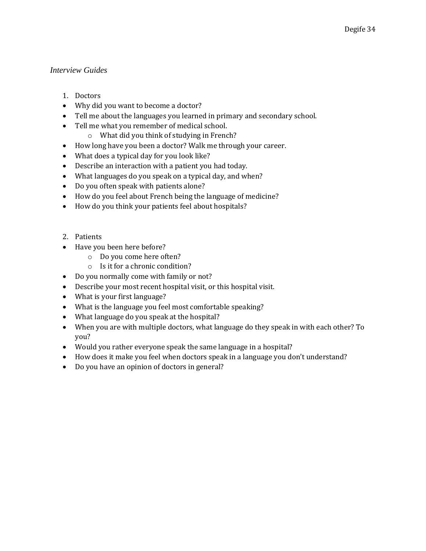# <span id="page-34-0"></span>*Interview Guides*

- 1. Doctors
- Why did you want to become a doctor?
- Tell me about the languages you learned in primary and secondary school.
- Tell me what you remember of medical school.
	- o What did you think of studying in French?
- How long have you been a doctor? Walk me through your career.
- What does a typical day for you look like?
- Describe an interaction with a patient you had today.
- What languages do you speak on a typical day, and when?
- Do you often speak with patients alone?
- How do you feel about French being the language of medicine?
- How do you think your patients feel about hospitals?
- 2. Patients
- Have you been here before?
	- o Do you come here often?
	- o Is it for a chronic condition?
- Do you normally come with family or not?
- Describe your most recent hospital visit, or this hospital visit.
- What is your first language?
- What is the language you feel most comfortable speaking?
- What language do you speak at the hospital?
- When you are with multiple doctors, what language do they speak in with each other? To you?
- Would you rather everyone speak the same language in a hospital?
- How does it make you feel when doctors speak in a language you don't understand?
- Do you have an opinion of doctors in general?